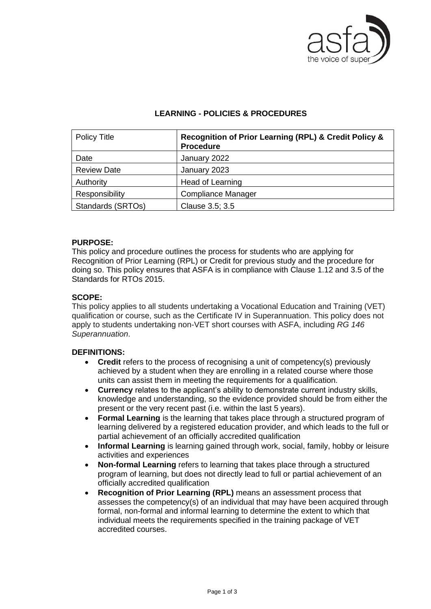

# **LEARNING - POLICIES & PROCEDURES**

| <b>Policy Title</b> | Recognition of Prior Learning (RPL) & Credit Policy &<br><b>Procedure</b> |
|---------------------|---------------------------------------------------------------------------|
| Date                | January 2022                                                              |
| <b>Review Date</b>  | January 2023                                                              |
| Authority           | Head of Learning                                                          |
| Responsibility      | <b>Compliance Manager</b>                                                 |
| Standards (SRTOs)   | Clause 3.5; 3.5                                                           |

## **PURPOSE:**

This policy and procedure outlines the process for students who are applying for Recognition of Prior Learning (RPL) or Credit for previous study and the procedure for doing so. This policy ensures that ASFA is in compliance with Clause 1.12 and 3.5 of the Standards for RTOs 2015.

# **SCOPE:**

This policy applies to all students undertaking a Vocational Education and Training (VET) qualification or course, such as the Certificate IV in Superannuation. This policy does not apply to students undertaking non-VET short courses with ASFA, including *RG 146 Superannuation*.

## **DEFINITIONS:**

- **Credit** refers to the process of recognising a unit of competency(s) previously achieved by a student when they are enrolling in a related course where those units can assist them in meeting the requirements for a qualification.
- **Currency** relates to the applicant's ability to demonstrate current industry skills, knowledge and understanding, so the evidence provided should be from either the present or the very recent past (i.e. within the last 5 years).
- **Formal Learning** is the learning that takes place through a structured program of learning delivered by a registered education provider, and which leads to the full or partial achievement of an officially accredited qualification
- **Informal Learning** is learning gained through work, social, family, hobby or leisure activities and experiences
- **Non-formal Learning** refers to learning that takes place through a structured program of learning, but does not directly lead to full or partial achievement of an officially accredited qualification
- **Recognition of Prior Learning (RPL)** means an assessment process that assesses the competency(s) of an individual that may have been acquired through formal, non-formal and informal learning to determine the extent to which that individual meets the requirements specified in the training package of VET accredited courses.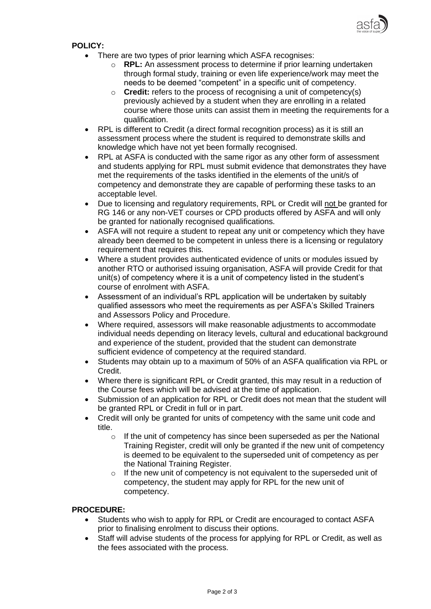

# **POLICY:**

- There are two types of prior learning which ASFA recognises:
	- o **RPL:** An assessment process to determine if prior learning undertaken through formal study, training or even life experience/work may meet the needs to be deemed "competent" in a specific unit of competency.
	- o **Credit:** refers to the process of recognising a unit of competency(s) previously achieved by a student when they are enrolling in a related course where those units can assist them in meeting the requirements for a qualification.
- RPL is different to Credit (a direct formal recognition process) as it is still an assessment process where the student is required to demonstrate skills and knowledge which have not yet been formally recognised.
- RPL at ASFA is conducted with the same rigor as any other form of assessment and students applying for RPL must submit evidence that demonstrates they have met the requirements of the tasks identified in the elements of the unit/s of competency and demonstrate they are capable of performing these tasks to an acceptable level.
- Due to licensing and regulatory requirements, RPL or Credit will not be granted for RG 146 or any non-VET courses or CPD products offered by ASFA and will only be granted for nationally recognised qualifications.
- ASFA will not require a student to repeat any unit or competency which they have already been deemed to be competent in unless there is a licensing or regulatory requirement that requires this.
- Where a student provides authenticated evidence of units or modules issued by another RTO or authorised issuing organisation, ASFA will provide Credit for that unit(s) of competency where it is a unit of competency listed in the student's course of enrolment with ASFA.
- Assessment of an individual's RPL application will be undertaken by suitably qualified assessors who meet the requirements as per ASFA's Skilled Trainers and Assessors Policy and Procedure.
- Where required, assessors will make reasonable adjustments to accommodate individual needs depending on literacy levels, cultural and educational background and experience of the student, provided that the student can demonstrate sufficient evidence of competency at the required standard.
- Students may obtain up to a maximum of 50% of an ASFA qualification via RPL or Credit.
- Where there is significant RPL or Credit granted, this may result in a reduction of the Course fees which will be advised at the time of application.
- Submission of an application for RPL or Credit does not mean that the student will be granted RPL or Credit in full or in part.
- Credit will only be granted for units of competency with the same unit code and title.
	- $\circ$  If the unit of competency has since been superseded as per the National Training Register, credit will only be granted if the new unit of competency is deemed to be equivalent to the superseded unit of competency as per the National Training Register.
	- o If the new unit of competency is not equivalent to the superseded unit of competency, the student may apply for RPL for the new unit of competency.

## **PROCEDURE:**

- Students who wish to apply for RPL or Credit are encouraged to contact ASFA prior to finalising enrolment to discuss their options.
- Staff will advise students of the process for applying for RPL or Credit, as well as the fees associated with the process.